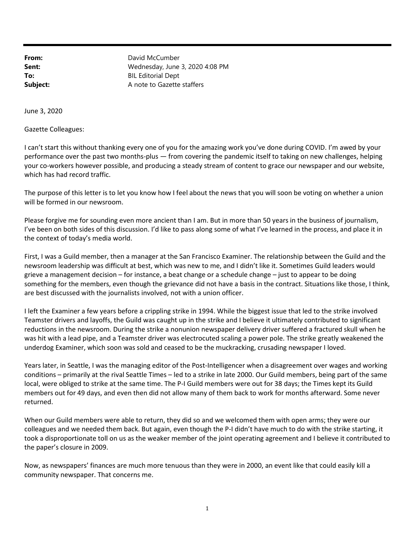From: David McCumber Sent: Wednesday, June 3, 2020 4:08 PM To: BIL Editorial Dept **Subject:** A note to Gazette staffers

June 3, 2020

Gazette Colleagues:

I can't start this without thanking every one of you for the amazing work you've done during COVID. I'm awed by your performance over the past two months-plus — from covering the pandemic itself to taking on new challenges, helping your co-workers however possible, and producing a steady stream of content to grace our newspaper and our website, which has had record traffic.

The purpose of this letter is to let you know how I feel about the news that you will soon be voting on whether a union will be formed in our newsroom.

Please forgive me for sounding even more ancient than I am. But in more than 50 years in the business of journalism, I've been on both sides of this discussion. I'd like to pass along some of what I've learned in the process, and place it in the context of today's media world.

First, I was a Guild member, then a manager at the San Francisco Examiner. The relationship between the Guild and the newsroom leadership was difficult at best, which was new to me, and I didn't like it. Sometimes Guild leaders would grieve a management decision – for instance, a beat change or a schedule change – just to appear to be doing something for the members, even though the grievance did not have a basis in the contract. Situations like those, I think, are best discussed with the journalists involved, not with a union officer.

I left the Examiner a few years before a crippling strike in 1994. While the biggest issue that led to the strike involved Teamster drivers and layoffs, the Guild was caught up in the strike and I believe it ultimately contributed to significant reductions in the newsroom. During the strike a nonunion newspaper delivery driver suffered a fractured skull when he was hit with a lead pipe, and a Teamster driver was electrocuted scaling a power pole. The strike greatly weakened the underdog Examiner, which soon was sold and ceased to be the muckracking, crusading newspaper I loved.

Years later, in Seattle, I was the managing editor of the Post-Intelligencer when a disagreement over wages and working conditions – primarily at the rival Seattle Times – led to a strike in late 2000. Our Guild members, being part of the same local, were obliged to strike at the same time. The P-I Guild members were out for 38 days; the Times kept its Guild members out for 49 days, and even then did not allow many of them back to work for months afterward. Some never returned.

When our Guild members were able to return, they did so and we welcomed them with open arms; they were our colleagues and we needed them back. But again, even though the P-I didn't have much to do with the strike starting, it took a disproportionate toll on us as the weaker member of the joint operating agreement and I believe it contributed to the paper's closure in 2009.

Now, as newspapers' finances are much more tenuous than they were in 2000, an event like that could easily kill a community newspaper. That concerns me.